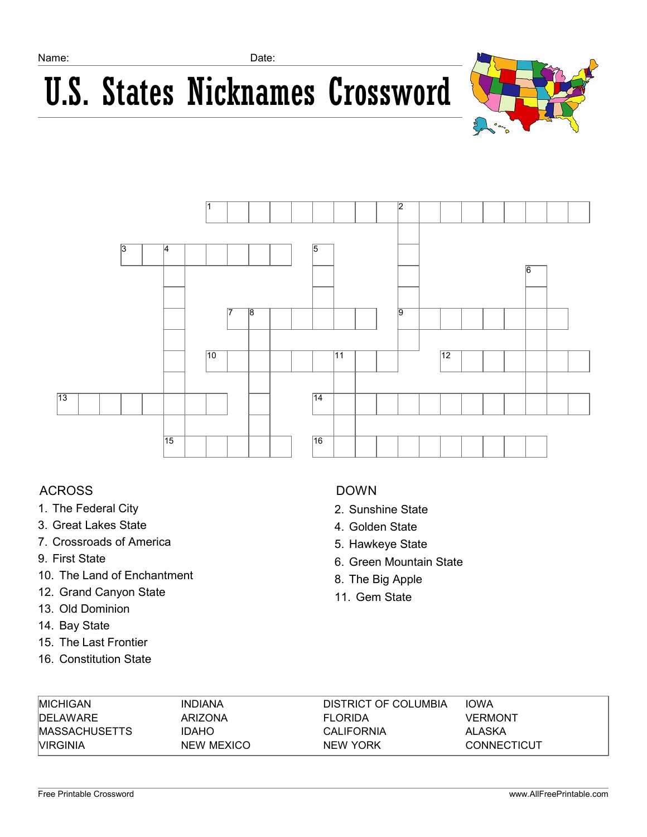## U.S. States Nicknames Crossword





### ACROSS

- 1. The Federal City
- 3. Great Lakes State
- 7. Crossroads of America
- 9. First State
- 10. The Land of Enchantment
- 12. Grand Canyon State
- 13. Old Dominion
- 14. Bay State
- 15. The Last Frontier
- 16. Constitution State

### DOWN

- 2. Sunshine State
- 4. Golden State
- 5. Hawkeye State
- 6. Green Mountain State
- 8. The Big Apple
- 11. Gem State

| <b>MICHIGAN</b>  | INDIANA      | DISTRICT OF COLUMBIA | <b>IOWA</b>    |
|------------------|--------------|----------------------|----------------|
| <b>IDELAWARE</b> | ARIZONA      | <b>FLORIDA</b>       | <b>VERMONT</b> |
| MASSACHUSETTS    | <b>IDAHO</b> | <b>CALIFORNIA</b>    | ALASKA         |
| <b>VIRGINIA</b>  | NEW MEXICO   | NEW YORK             | CONNECTICUT    |